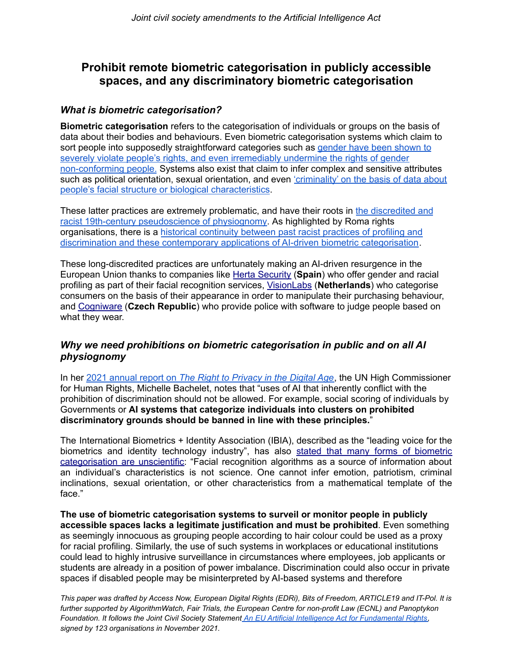## **Prohibit remote biometric categorisation in publicly accessible spaces, and any discriminatory biometric categorisation**

## *What is biometric categorisation?*

**Biometric categorisation** refers to the categorisation of individuals or groups on the basis of data about their bodies and behaviours. Even biometric categorisation systems which claim to sort people into supposedly straightforward categories such as **[gender](https://www.accessnow.org/how-ai-systems-undermine-lgbtq-identity/) have been shown to** [severely](https://www.accessnow.org/how-ai-systems-undermine-lgbtq-identity/) violate people's rights, and even irremediably undermine the rights of gender non-conforming people. Systems also exist that claim to infer complex and sensitive attributes such as political orientation, sexual orientation, and even ['criminality'](https://medium.com/@CoalitionForCriticalTechnology/abolish-the-techtoprisonpipeline-9b5b14366b16) on the basis of data about people's facial structure or biological [characteristics](https://medium.com/@CoalitionForCriticalTechnology/abolish-the-techtoprisonpipeline-9b5b14366b16).

These latter practices are extremely problematic, and have their roots in the [discredited](https://medium.com/@blaisea/physiognomys-new-clothes-f2d4b59fdd6a) and racist 19th-century [pseudoscience](https://medium.com/@blaisea/physiognomys-new-clothes-f2d4b59fdd6a) of physiognomy. As highlighted by Roma rights organisations, there is a historical [continuity](https://edri.org/our-work/roma-rights-and-biometric-mass-surveillance/) between past racist practices of profiling and discrimination and these contemporary applications of AI-driven biometric [categorisation](https://edri.org/our-work/roma-rights-and-biometric-mass-surveillance/).

These long-discredited practices are unfortunately making an AI-driven resurgence in the European Union thanks to companies like Herta [Security](https://hertasecurity.com/) (**Spain**) who offer gender and racial profiling as part of their facial recognition services, [VisionLabs](https://visionlabs.ai/) (**Netherlands**) who categorise consumers on the basis of their appearance in order to manipulate their purchasing behaviour, and [Cogniware](https://www.cogniware.com/en/insights) (**Czech Republic**) who provide police with software to judge people based on what they wear.

## *Why we need prohibitions on biometric categorisation in public and on all AI physiognomy*

In her 2021 annual report on *The Right to [Privacy](https://www.ohchr.org/EN/Issues/DigitalAge/Pages/DigitalReports.aspx) in the Digital Age*, the UN High Commissioner for Human Rights, Michelle Bachelet, notes that "uses of AI that inherently conflict with the prohibition of discrimination should not be allowed. For example, social scoring of individuals by Governments or **AI systems that categorize individuals into clusters on prohibited discriminatory grounds should be banned in line with these principles.**"

The International Biometrics + Identity Association (IBIA), described as the "leading voice for the [biometric](https://www.ibia.org/download/datasets/5356/IBIA-CommentsonPendingPortlandFacialRecognitionProposals-1%20(1).pdf)s and identity technology industry", has also stated that many forms of biometric [categorisation](https://www.ibia.org/download/datasets/5356/IBIA-CommentsonPendingPortlandFacialRecognitionProposals-1%20(1).pdf) are unscientific: "Facial recognition algorithms as a source of information about an individual's characteristics is not science. One cannot infer emotion, patriotism, criminal inclinations, sexual orientation, or other characteristics from a mathematical template of the face."

**The use of biometric categorisation systems to surveil or monitor people in publicly accessible spaces lacks a legitimate justification and must be prohibited**. Even something as seemingly innocuous as grouping people according to hair colour could be used as a proxy for racial profiling. Similarly, the use of such systems in workplaces or educational institutions could lead to highly intrusive surveillance in circumstances where employees, job applicants or students are already in a position of power imbalance. Discrimination could also occur in private spaces if disabled people may be misinterpreted by AI-based systems and therefore

*This paper was drafted by Access Now, European Digital Rights (EDRi), Bits of Freedom, ARTICLE19 and IT-Pol. It is further supported by AlgorithmWatch, Fair Trials, the European Centre for non-profit Law (ECNL) and Panoptykon Foundation. It follows the Joint Civil Society Statement [An EU Artificial Intelligence Act for Fundamental Rights,](https://edri.org/wp-content/uploads/2021/12/Political-statement-on-AI-Act.pdf) signed by 123 organisations in November 2021.*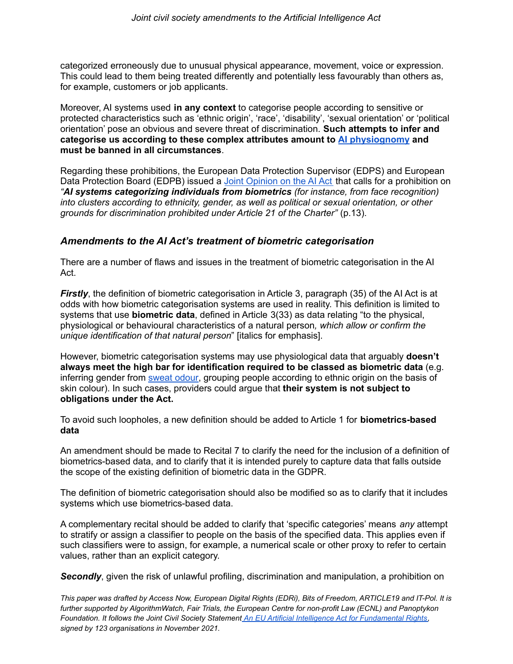categorized erroneously due to unusual physical appearance, movement, voice or expression. This could lead to them being treated differently and potentially less favourably than others as, for example, customers or job applicants.

Moreover, AI systems used **in any context** to categorise people according to sensitive or protected characteristics such as 'ethnic origin', 'race', 'disability', 'sexual orientation' or 'political orientation' pose an obvious and severe threat of discrimination. **Such attempts to infer and categorise us according to these complex attributes amount to AI [physiognomy](https://papers.ssrn.com/sol3/papers.cfm?abstract_id=3927300) and must be banned in all circumstances**.

Regarding these prohibitions, the European Data Protection Supervisor (EDPS) and European Data Protection Board (EDPB) issued a Joint [Opinion](https://edps.europa.eu/system/files/2021-06/2021-06-18-edpb-edps_joint_opinion_ai_regulation_en.pdf) on the AI Act that calls for a prohibition on *"AI systems categorizing individuals from biometrics (for instance, from face recognition) into clusters according to ethnicity, gender, as well as political or sexual orientation, or other grounds for discrimination prohibited under Article 21 of the Charter"* (p.13).

## *Amendments to the AI Act's treatment of biometric categorisation*

There are a number of flaws and issues in the treatment of biometric categorisation in the AI Act.

*Firstly*, the definition of biometric categorisation in Article 3, paragraph (35) of the AI Act is at odds with how biometric categorisation systems are used in reality. This definition is limited to systems that use **biometric data**, defined in Article 3(33) as data relating "to the physical, physiological or behavioural characteristics of a natural person*, which allow or confirm the unique identification of that natural person*" [italics for emphasis].

However, biometric categorisation systems may use physiological data that arguably **doesn't always meet the high bar for identification required to be classed as biometric data** (e.g[.](https://ieeexplore.ieee.org/document/7825064) inferring gender from [sweat](https://ieeexplore.ieee.org/document/9435205) odour, grouping people according to ethnic origin on the basis of skin colour). In such cases, providers could argue that **their system is not subject to obligations under the Act.**

To avoid such loopholes, a new definition should be added to Article 1 for **biometrics-based data**

An amendment should be made to Recital 7 to clarify the need for the inclusion of a definition of biometrics-based data, and to clarify that it is intended purely to capture data that falls outside the scope of the existing definition of biometric data in the GDPR.

The definition of biometric categorisation should also be modified so as to clarify that it includes systems which use biometrics-based data.

A complementary recital should be added to clarify that 'specific categories' means *any* attempt to stratify or assign a classifier to people on the basis of the specified data. This applies even if such classifiers were to assign, for example, a numerical scale or other proxy to refer to certain values, rather than an explicit category.

**Secondly**, given the risk of unlawful profiling, discrimination and manipulation, a prohibition on

*This paper was drafted by Access Now, European Digital Rights (EDRi), Bits of Freedom, ARTICLE19 and IT-Pol. It is further supported by AlgorithmWatch, Fair Trials, the European Centre for non-profit Law (ECNL) and Panoptykon Foundation. It follows the Joint Civil Society Statement [An EU Artificial Intelligence Act for Fundamental Rights,](https://edri.org/wp-content/uploads/2021/12/Political-statement-on-AI-Act.pdf) signed by 123 organisations in November 2021.*